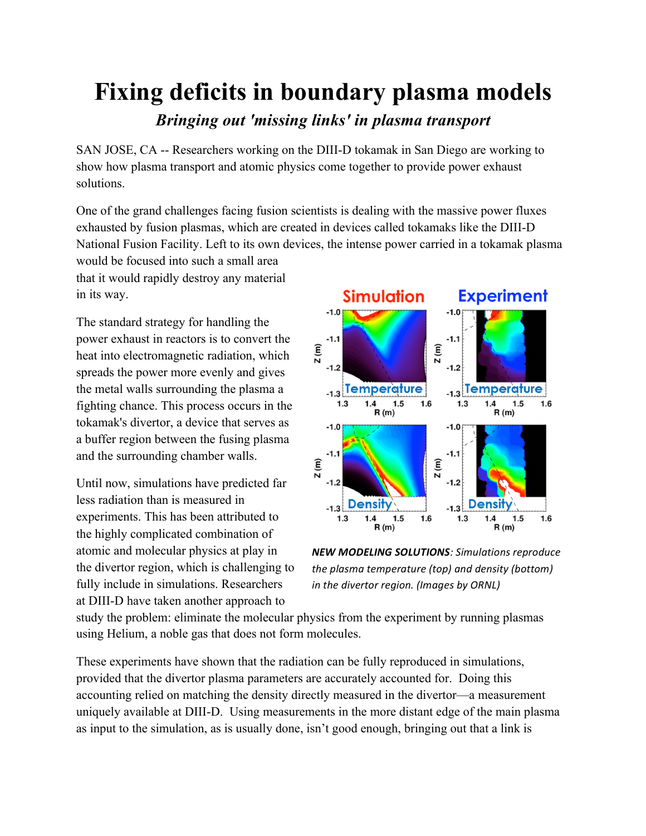## **Fixing deficits in boundary plasma models** *Bringing out 'missing links' in plasma transport*

SAN JOSE, CA -- Researchers working on the DIII-D tokamak in San Diego are working to show how plasma transport and atomic physics come together to provide power exhaust solutions.

One of the grand challenges facing fusion scientists is dealing with the massive power fluxes exhausted by fusion plasmas, which are created in devices called tokamaks like the DIII-D National Fusion Facility. Left to its own devices, the intense power carried in a tokamak plasma

would be focused into such a small area that it would rapidly destroy any material in its way.

The standard strategy for handling the power exhaust in reactors is to convert the heat into electromagnetic radiation, which spreads the power more evenly and gives the metal walls surrounding the plasma a fighting chance. This process occurs in the tokamak's divertor, a device that serves as a buffer region between the fusing plasma and the surrounding chamber walls.

Until now, simulations have predicted far less radiation than is measured in experiments. This has been attributed to the highly complicated combination of atomic and molecular physics at play in the divertor region, which is challenging to fully include in simulations. Researchers at DIII-D have taken another approach to



**NEW MODELING SOLUTIONS**: Simulations reproduce the plasma temperature (top) and density (bottom) *in* the divertor region. (Images by ORNL)

study the problem: eliminate the molecular physics from the experiment by running plasmas using Helium, a noble gas that does not form molecules.

These experiments have shown that the radiation can be fully reproduced in simulations, provided that the divertor plasma parameters are accurately accounted for. Doing this accounting relied on matching the density directly measured in the divertor—a measurement uniquely available at DIII-D. Using measurements in the more distant edge of the main plasma as input to the simulation, as is usually done, isn't good enough, bringing out that a link is